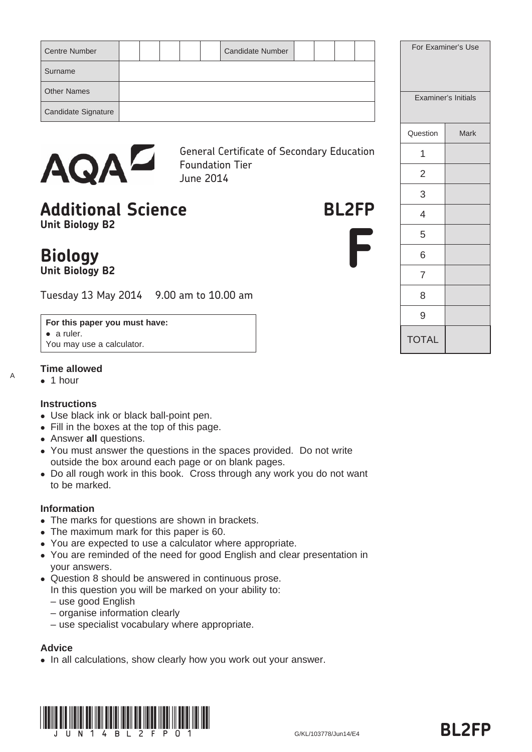| <b>Centre Number</b> |  |  | <b>Candidate Number</b> |  |  |  | For Examiner's Use  |
|----------------------|--|--|-------------------------|--|--|--|---------------------|
| Surname              |  |  |                         |  |  |  |                     |
| <b>Other Names</b>   |  |  |                         |  |  |  | Examiner's Initials |
| Candidate Signature  |  |  |                         |  |  |  |                     |
|                      |  |  |                         |  |  |  |                     |



General Certificate of Secondary Education Foundation Tier June 2014

# Additional Science **BL2FP Unit Biology B2**



|                | Examiner's Initials |
|----------------|---------------------|
| Question       | Mark                |
| 1              |                     |
| $\overline{2}$ |                     |
| 3              |                     |
| $\overline{4}$ |                     |
| 5              |                     |
| 6              |                     |
| $\overline{7}$ |                     |
| 8              |                     |
| 9              |                     |
| <b>TOTAL</b>   |                     |

**Biology Unit Biology B2**

Tuesday 13 May 2014 9.00 am to 10.00 am

#### **For this paper you must have:**

• a ruler. You may use a calculator.

### **Time allowed**

 $\bullet$  1 hour

A

### **Instructions**

- Use black ink or black ball-point pen.
- Fill in the boxes at the top of this page.
- Answer **all** questions.
- You must answer the questions in the spaces provided. Do not write outside the box around each page or on blank pages.
- Do all rough work in this book. Cross through any work you do not want to be marked.

### **Information**

- The marks for questions are shown in brackets.
- The maximum mark for this paper is 60.
- You are expected to use a calculator where appropriate.
- You are reminded of the need for good English and clear presentation in your answers.
- Question 8 should be answered in continuous prose.
- In this question you will be marked on your ability to:
- use good English
- organise information clearly
- use specialist vocabulary where appropriate.

## **Advice**

• In all calculations, show clearly how you work out your answer.

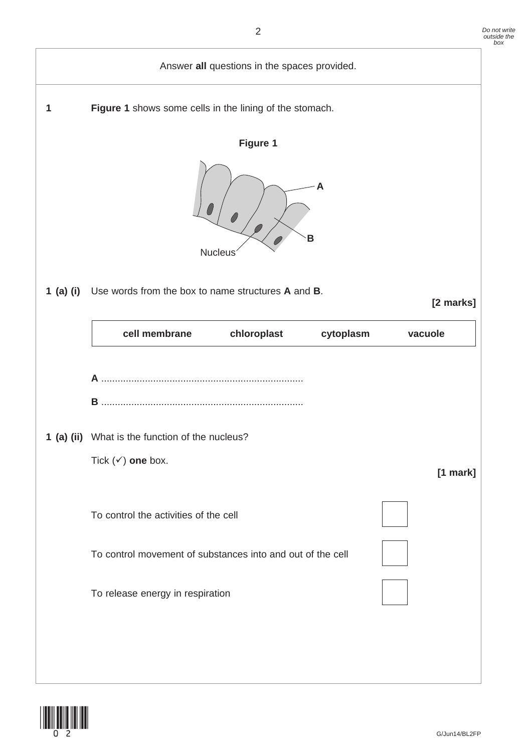

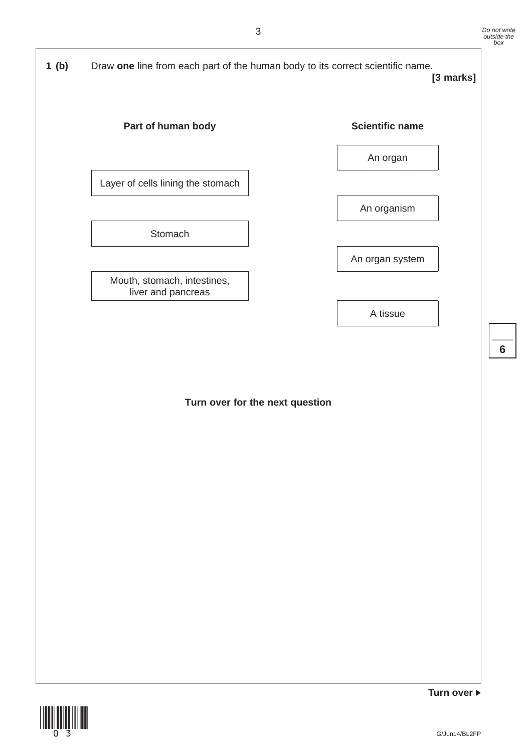

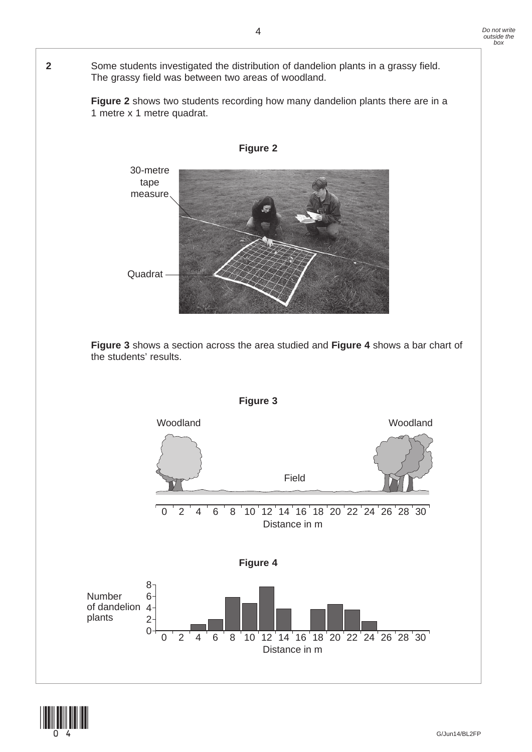### **2** Some students investigated the distribution of dandelion plants in a grassy field. The grassy field was between two areas of woodland.

 **Figure 2** shows two students recording how many dandelion plants there are in a 1 metre x 1 metre quadrat.



**Figure 3** shows a section across the area studied and **Figure 4** shows a bar chart of the students' results.



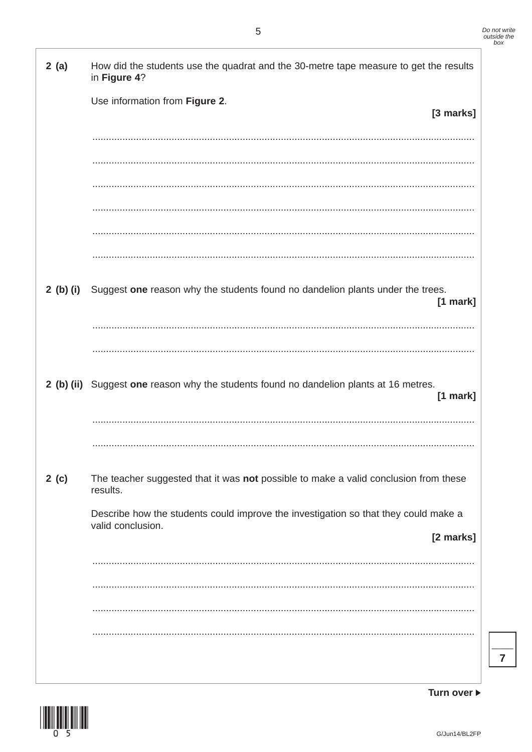| 2(a)      | How did the students use the quadrat and the 30-metre tape measure to get the results<br>in Figure 4?    |
|-----------|----------------------------------------------------------------------------------------------------------|
|           | Use information from Figure 2.<br>[3 marks]                                                              |
|           |                                                                                                          |
|           |                                                                                                          |
|           |                                                                                                          |
|           |                                                                                                          |
|           |                                                                                                          |
|           |                                                                                                          |
| 2 (b) (i) | Suggest one reason why the students found no dandelion plants under the trees.<br>$[1$ mark]             |
|           |                                                                                                          |
|           |                                                                                                          |
|           | 2 (b) (ii) Suggest one reason why the students found no dandelion plants at 16 metres.<br>$[1$ mark]     |
|           |                                                                                                          |
|           |                                                                                                          |
| 2(c)      | The teacher suggested that it was not possible to make a valid conclusion from these<br>results.         |
|           | Describe how the students could improve the investigation so that they could make a<br>valid conclusion. |
|           | [2 marks]                                                                                                |
|           |                                                                                                          |
|           |                                                                                                          |
|           |                                                                                                          |
|           |                                                                                                          |
|           |                                                                                                          |
|           |                                                                                                          |



Turn over ▶

 $\overline{7}$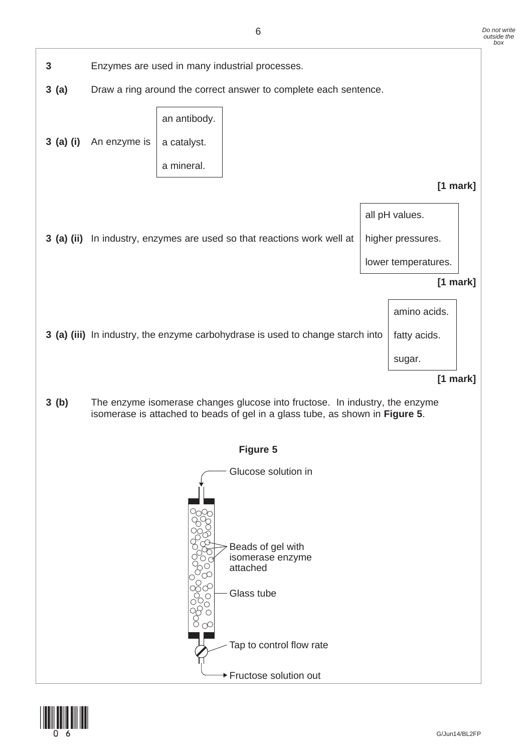

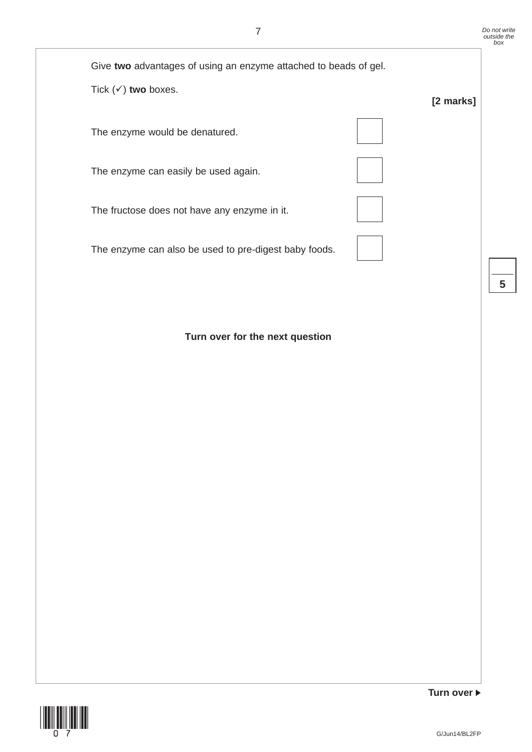$\overline{\phantom{a}}$ **5**



**Turn over for the next question**



**Turn over**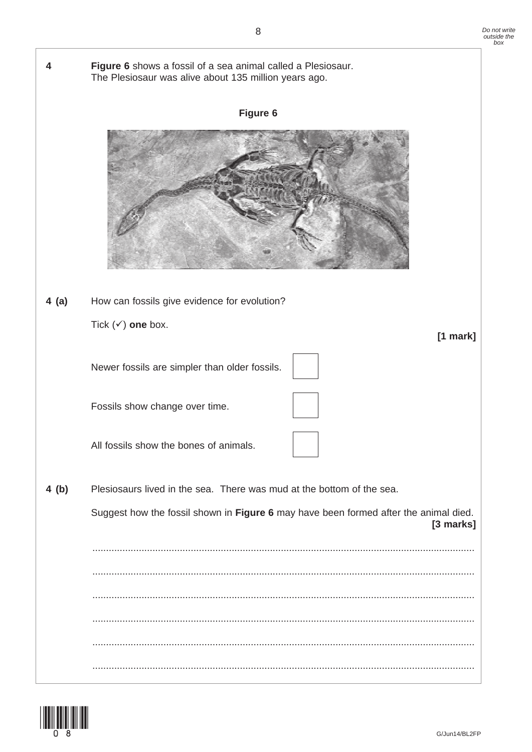

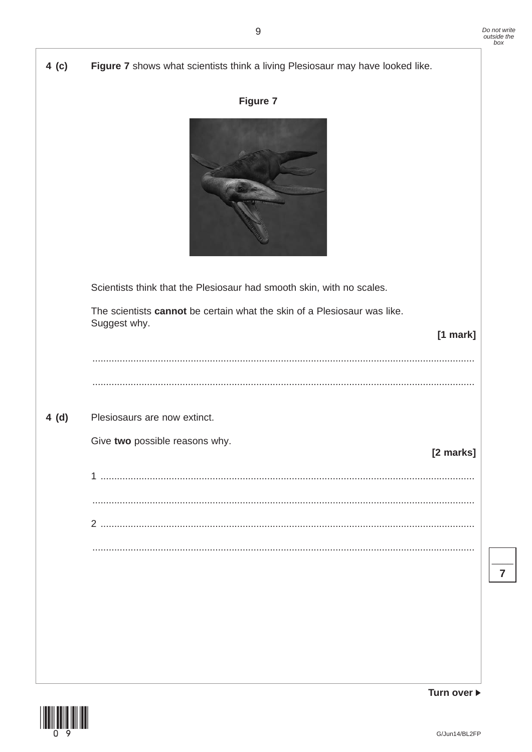| 4(c) | Figure 7 shows what scientists think a living Plesiosaur may have looked like.                                                                                                  |
|------|---------------------------------------------------------------------------------------------------------------------------------------------------------------------------------|
|      | <b>Figure 7</b>                                                                                                                                                                 |
|      | Scientists think that the Plesiosaur had smooth skin, with no scales.<br>The scientists cannot be certain what the skin of a Plesiosaur was like.<br>Suggest why.<br>$[1$ mark] |
|      |                                                                                                                                                                                 |
| 4(d) | Plesiosaurs are now extinct.                                                                                                                                                    |
|      | Give two possible reasons why.<br>[2 marks]                                                                                                                                     |
|      |                                                                                                                                                                                 |
|      |                                                                                                                                                                                 |
|      |                                                                                                                                                                                 |
|      |                                                                                                                                                                                 |
|      |                                                                                                                                                                                 |
|      |                                                                                                                                                                                 |
|      |                                                                                                                                                                                 |
|      |                                                                                                                                                                                 |



Turn over ▶

 $\overline{7}$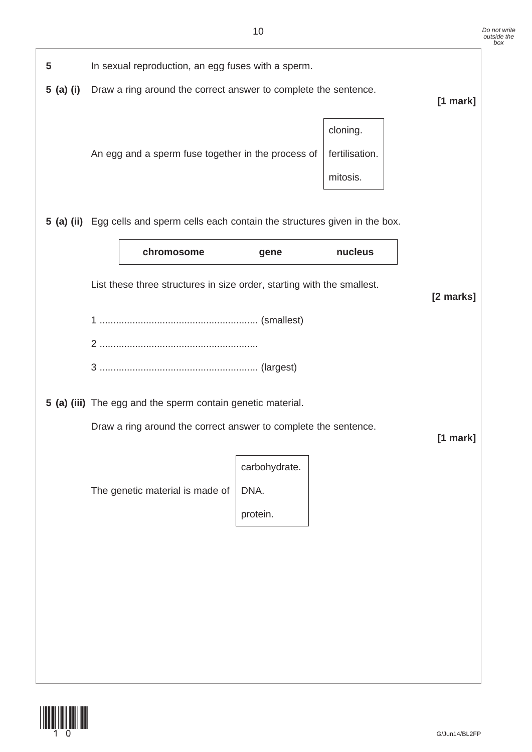

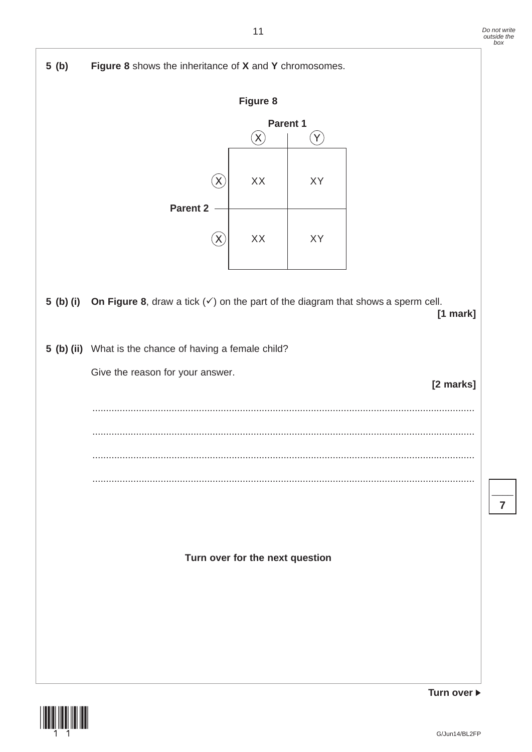

**Turn over**

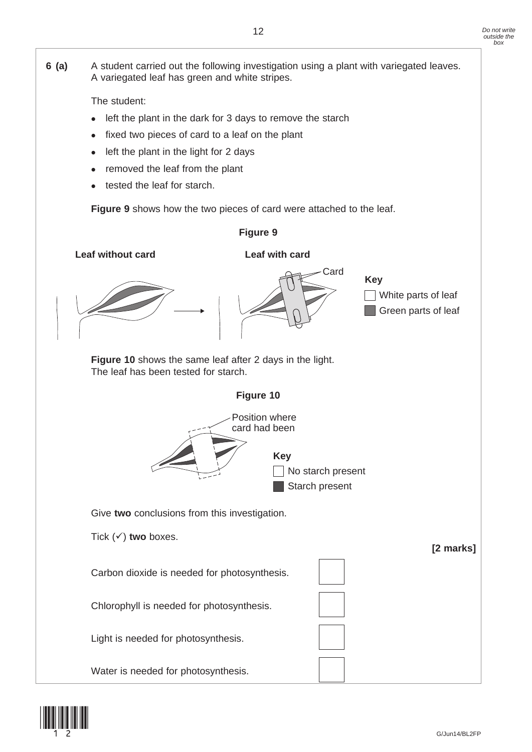**6 (a)** A student carried out the following investigation using a plant with variegated leaves. A variegated leaf has green and white stripes. The student: • left the plant in the dark for 3 days to remove the starch fixed two pieces of card to a leaf on the plant left the plant in the light for 2 days • removed the leaf from the plant tested the leaf for starch.  **Figure 9** shows how the two pieces of card were attached to the leaf. **Figure 9** Card White parts of leaf **Key Leaf without card Leaf with card** Green parts of leaf  **Figure 10** shows the same leaf after 2 days in the light. The leaf has been tested for starch. **Figure 10** Position where card had been No starch present **Key** Starch present Give **two** conclusions from this investigation. Tick  $(\checkmark)$  two boxes. **[2 marks]** Carbon dioxide is needed for photosynthesis. Chlorophyll is needed for photosynthesis. Light is needed for photosynthesis. Water is needed for photosynthesis.

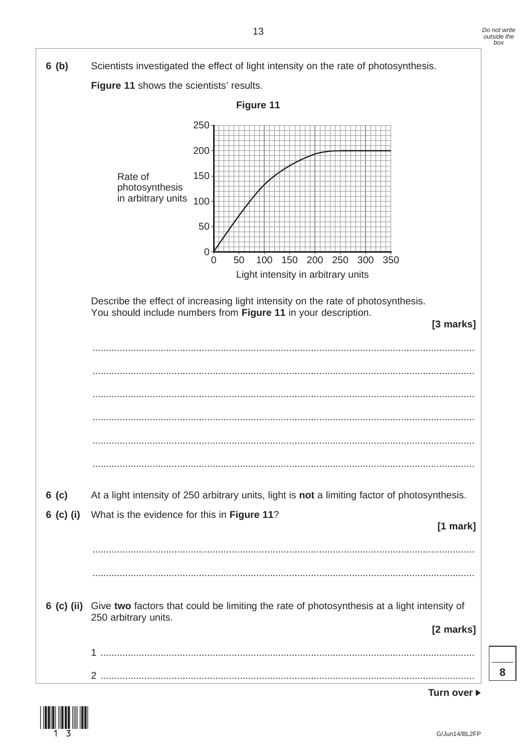

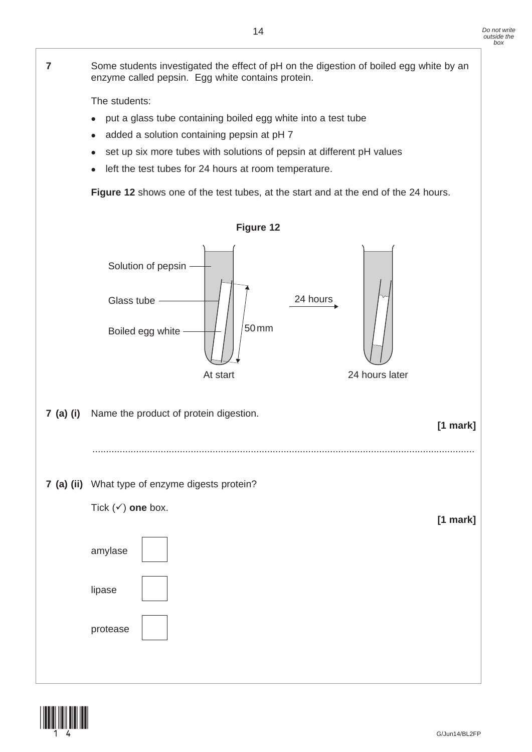

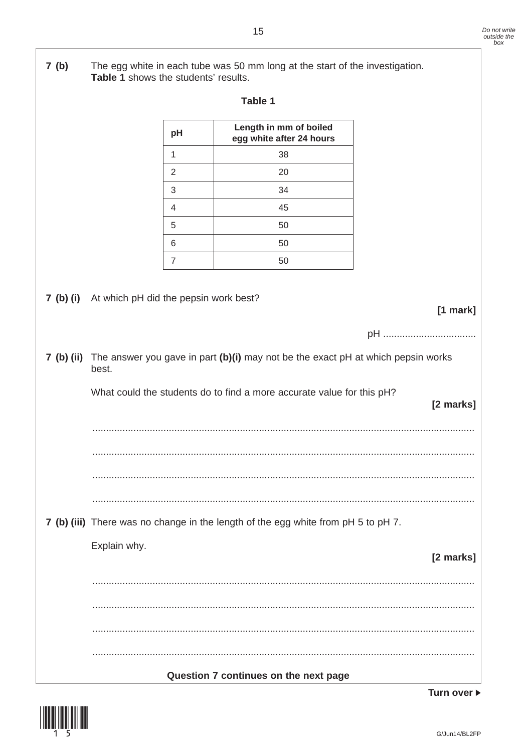$7(b)$ The egg white in each tube was 50 mm long at the start of the investigation. Table 1 shows the students' results. Table 1 Length in mm of boiled pH egg white after 24 hours  $\overline{1}$ 38 2 20 3 34  $\overline{4}$ 45 5 50 6 50  $\overline{7}$ 50 7 (b) (i) At which pH did the pepsin work best? [1 mark] 7 (b) (ii) The answer you gave in part (b)(i) may not be the exact pH at which pepsin works best. What could the students do to find a more accurate value for this pH? [2 marks] 7 (b) (iii) There was no change in the length of the egg white from pH 5 to pH 7. Explain why. [2 marks] Question 7 continues on the next page



G/Jun14/BL2FP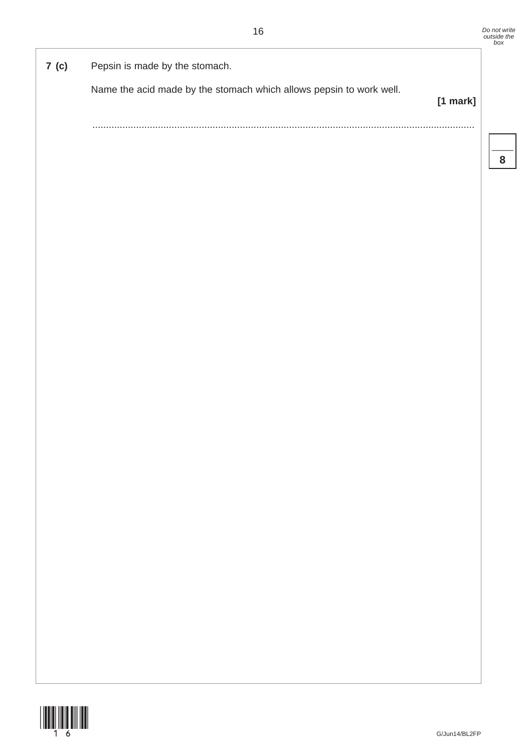# **7 (c)** Pepsin is made by the stomach.

Name the acid made by the stomach which allows pepsin to work well.

**[1 mark]**

............................................................................................................................................

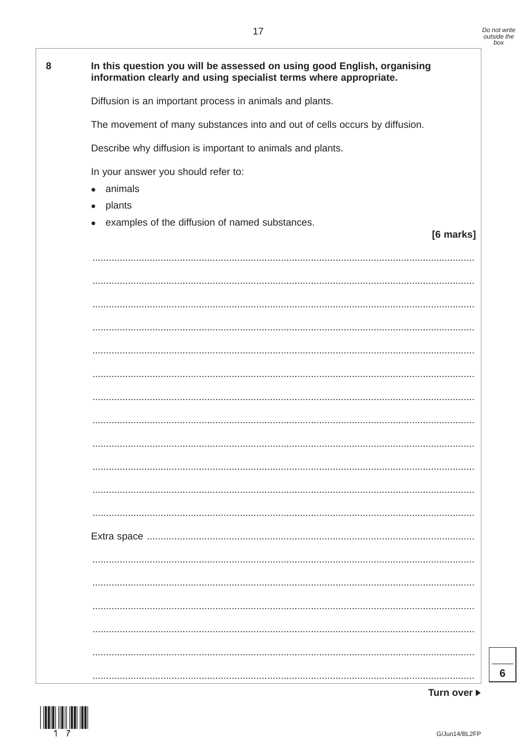| 8 | In this question you will be assessed on using good English, organising<br>information clearly and using specialist terms where appropriate. |
|---|----------------------------------------------------------------------------------------------------------------------------------------------|
|   | Diffusion is an important process in animals and plants.                                                                                     |
|   | The movement of many substances into and out of cells occurs by diffusion.                                                                   |
|   | Describe why diffusion is important to animals and plants.                                                                                   |
|   | In your answer you should refer to:<br>animals<br>plants<br>$\bullet$<br>examples of the diffusion of named substances.<br>[6 marks]         |
|   |                                                                                                                                              |
|   |                                                                                                                                              |
|   |                                                                                                                                              |
|   |                                                                                                                                              |
|   |                                                                                                                                              |
|   |                                                                                                                                              |
|   |                                                                                                                                              |
|   |                                                                                                                                              |
|   |                                                                                                                                              |
|   |                                                                                                                                              |
|   |                                                                                                                                              |
|   |                                                                                                                                              |
|   |                                                                                                                                              |
|   |                                                                                                                                              |
|   |                                                                                                                                              |
|   |                                                                                                                                              |
|   |                                                                                                                                              |
|   |                                                                                                                                              |
|   |                                                                                                                                              |

Turn over ▶

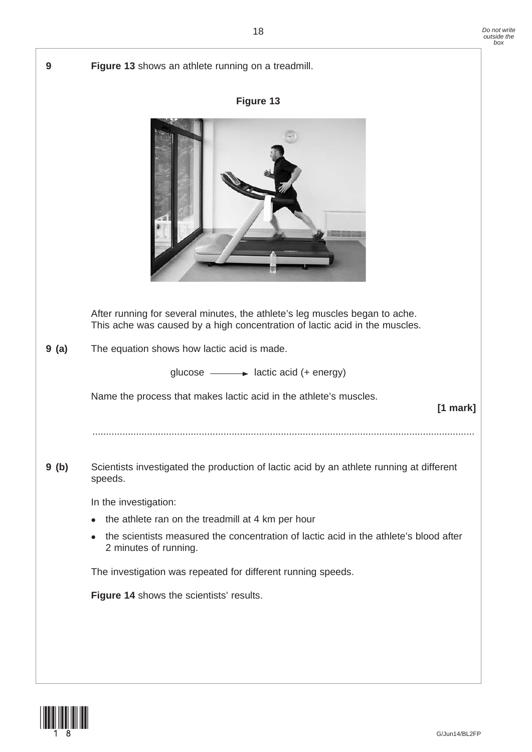| 9    | Figure 13 shows an athlete running on a treadmill.                                                                                                         |
|------|------------------------------------------------------------------------------------------------------------------------------------------------------------|
|      | Figure 13                                                                                                                                                  |
|      |                                                                                                                                                            |
|      | After running for several minutes, the athlete's leg muscles began to ache.<br>This ache was caused by a high concentration of lactic acid in the muscles. |
| 9(a) | The equation shows how lactic acid is made.                                                                                                                |
|      | glucose $\longrightarrow$ lactic acid (+ energy)                                                                                                           |
|      | Name the process that makes lactic acid in the athlete's muscles.<br>[1 mark]                                                                              |
|      |                                                                                                                                                            |
| 9(b) | Scientists investigated the production of lactic acid by an athlete running at different<br>speeds.                                                        |
|      | In the investigation:                                                                                                                                      |
|      | the athlete ran on the treadmill at 4 km per hour                                                                                                          |
|      | the scientists measured the concentration of lactic acid in the athlete's blood after<br>2 minutes of running.                                             |
|      | The investigation was repeated for different running speeds.                                                                                               |
|      | Figure 14 shows the scientists' results.                                                                                                                   |
|      |                                                                                                                                                            |
|      |                                                                                                                                                            |

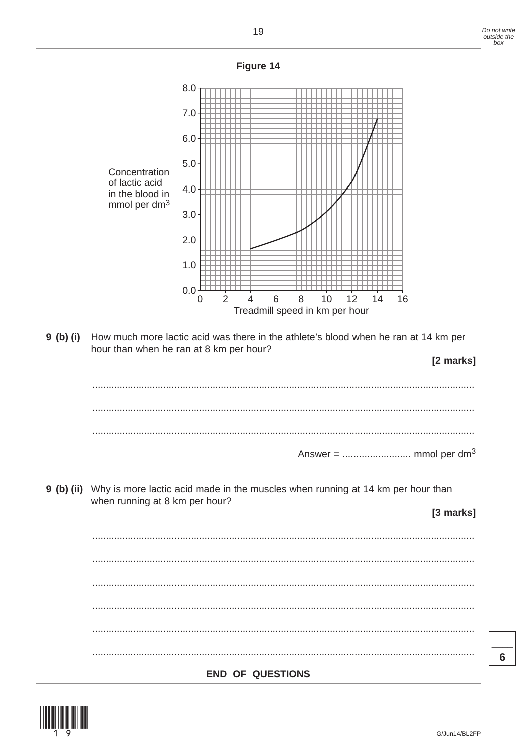